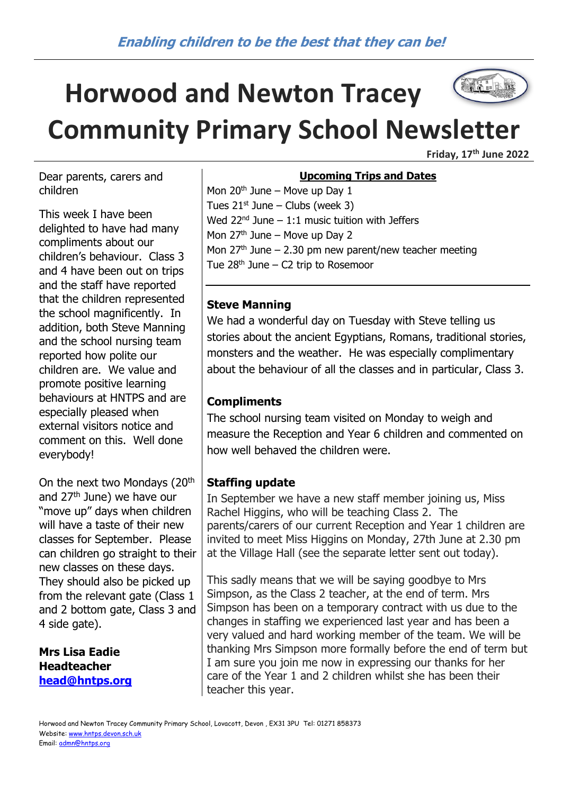# The Latitude **Horwood and Newton Tracey Community Primary School Newsletter**

**Friday, 17th June 2022**

Dear parents, carers and children

This week I have been delighted to have had many compliments about our children's behaviour. Class 3 and 4 have been out on trips and the staff have reported that the children represented the school magnificently. In addition, both Steve Manning and the school nursing team reported how polite our children are. We value and promote positive learning behaviours at HNTPS and are especially pleased when external visitors notice and comment on this. Well done everybody!

On the next two Mondays (20<sup>th</sup> and 27<sup>th</sup> June) we have our "move up" days when children will have a taste of their new classes for September. Please can children go straight to their new classes on these days. They should also be picked up from the relevant gate (Class 1) and 2 bottom gate, Class 3 and 4 side gate).

**Mrs Lisa Eadie Headteacher [head@hntps.org](mailto:head@hntps.org)**

#### **Upcoming Trips and Dates**

Mon  $20<sup>th</sup>$  June – Move up Day 1 Tues  $21^{st}$  June – Clubs (week 3) Wed  $22^{nd}$  June – 1:1 music tuition with Jeffers Mon  $27<sup>th</sup>$  June – Move up Day 2 Mon  $27<sup>th</sup>$  June – 2.30 pm new parent/new teacher meeting Tue  $28<sup>th</sup>$  June – C2 trip to Rosemoor

#### **Steve Manning**

We had a wonderful day on Tuesday with Steve telling us stories about the ancient Egyptians, Romans, traditional stories, monsters and the weather. He was especially complimentary about the behaviour of all the classes and in particular, Class 3.

#### **Compliments**

The school nursing team visited on Monday to weigh and measure the Reception and Year 6 children and commented on how well behaved the children were.

#### **Staffing update**

In September we have a new staff member joining us, Miss Rachel Higgins, who will be teaching Class 2. The parents/carers of our current Reception and Year 1 children are invited to meet Miss Higgins on Monday, 27th June at 2.30 pm at the Village Hall (see the separate letter sent out today).

This sadly means that we will be saying goodbye to Mrs Simpson, as the Class 2 teacher, at the end of term. Mrs Simpson has been on a temporary contract with us due to the changes in staffing we experienced last year and has been a very valued and hard working member of the team. We will be thanking Mrs Simpson more formally before the end of term but I am sure you join me now in expressing our thanks for her care of the Year 1 and 2 children whilst she has been their teacher this year.

Horwood and Newton Tracey Community Primary School, Lovacott, Devon , EX31 3PU Tel: 01271 858373 Website[: www.hntps.devon.sch.uk](http://www.hntps.devon.sch.uk/) Email: [admn@hntps.org](mailto:admn@hntps.org)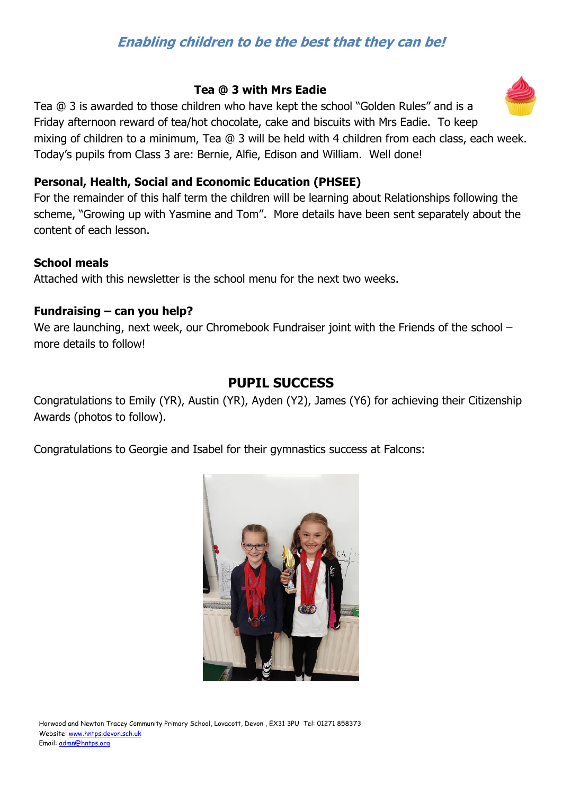## **Enabling children to be the best that they can be!**

#### **Tea @ 3 with Mrs Eadie**

Tea @ 3 is awarded to those children who have kept the school "Golden Rules" and is a Friday afternoon reward of tea/hot chocolate, cake and biscuits with Mrs Eadie. To keep mixing of children to a minimum, Tea @ 3 will be held with 4 children from each class, each week. Today's pupils from Class 3 are: Bernie, Alfie, Edison and William. Well done!

#### **Personal, Health, Social and Economic Education (PHSEE)**

For the remainder of this half term the children will be learning about Relationships following the scheme, "Growing up with Yasmine and Tom". More details have been sent separately about the content of each lesson.

#### **School meals**

Attached with this newsletter is the school menu for the next two weeks.

#### **Fundraising – can you help?**

We are launching, next week, our Chromebook Fundraiser joint with the Friends of the school – more details to follow!

### **PUPIL SUCCESS**

Congratulations to Emily (YR), Austin (YR), Ayden (Y2), James (Y6) for achieving their Citizenship Awards (photos to follow).

Congratulations to Georgie and Isabel for their gymnastics success at Falcons:



Horwood and Newton Tracey Community Primary School, Lovacott, Devon , EX31 3PU Tel: 01271 858373 Website[: www.hntps.devon.sch.uk](http://www.hntps.devon.sch.uk/) Email: [admn@hntps.org](mailto:admn@hntps.org)